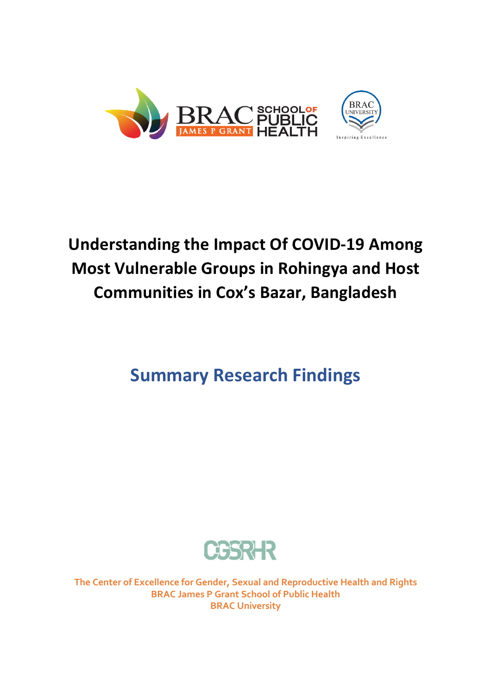

# **Understanding the Impact Of COVID-19 Among Most Vulnerable Groups in Rohingya and Host Communities in Cox's Bazar, Bangladesh**

# **Summary Research Findings**



**The Center of Excellence for Gender, Sexual and Reproductive Health and Rights BRAC James P Grant School of Public Health BRAC University**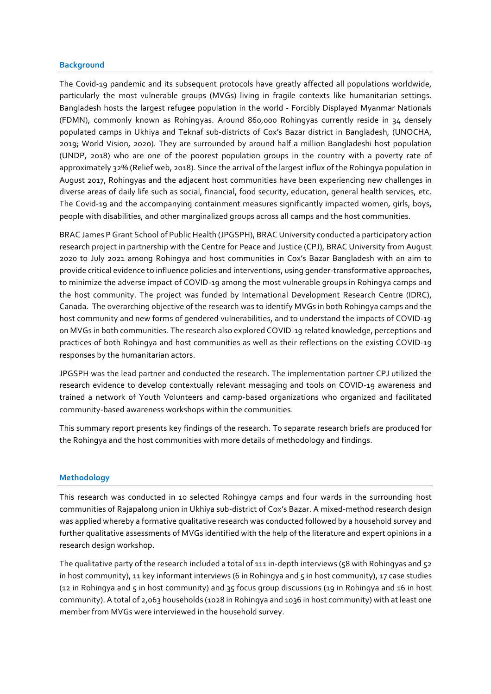#### **Background**

The Covid-19 pandemic and its subsequent protocols have greatly affected all populations worldwide, particularly the most vulnerable groups (MVGs) living in fragile contexts like humanitarian settings. Bangladesh hosts the largest refugee population in the world - Forcibly Displayed Myanmar Nationals (FDMN), commonly known as Rohingyas. Around 860,000 Rohingyas currently reside in 34 densely populated camps in Ukhiya and Teknaf sub-districts of Cox's Bazar district in Bangladesh, (UNOCHA, 2019; World Vision, 2020). They are surrounded by around half a million Bangladeshi host population (UNDP, 2018) who are one of the poorest population groups in the country with a poverty rate of approximately 32% (Relief web, 2018). Since the arrival of the largest influx of the Rohingya population in August 2017, Rohingyas and the adjacent host communities have been experiencing new challenges in diverse areas of daily life such as social, financial, food security, education, general health services, etc. The Covid-19 and the accompanying containment measures significantly impacted women, girls, boys, people with disabilities, and other marginalized groups across all camps and the host communities.

BRAC James P Grant School of Public Health (JPGSPH), BRAC University conducted a participatory action research project in partnership with the Centre for Peace and Justice (CPJ), BRAC University from August 2020 to July 2021 among Rohingya and host communities in Cox's Bazar Bangladesh with an aim to provide critical evidence to influence policies and interventions, using gender-transformative approaches, to minimize the adverse impact of COVID-19 among the most vulnerable groups in Rohingya camps and the host community. The project was funded by International Development Research Centre (IDRC), Canada. The overarching objective of the research was to identify MVGs in both Rohingya camps and the host community and new forms of gendered vulnerabilities, and to understand the impacts of COVID-19 on MVGs in both communities. The research also explored COVID-19 related knowledge, perceptions and practices of both Rohingya and host communities as well as their reflections on the existing COVID-19 responses by the humanitarian actors.

JPGSPH was the lead partner and conducted the research. The implementation partner CPJ utilized the research evidence to develop contextually relevant messaging and tools on COVID-19 awareness and trained a network of Youth Volunteers and camp-based organizations who organized and facilitated community-based awareness workshops within the communities.

This summary report presents key findings of the research. To separate research briefs are produced for the Rohingya and the host communities with more details of methodology and findings.

#### **Methodology**

This research was conducted in 10 selected Rohingya camps and four wards in the surrounding host communities of Rajapalong union in Ukhiya sub-district of Cox's Bazar. A mixed-method research design was applied whereby a formative qualitative research was conducted followed by a household survey and further qualitative assessments of MVGs identified with the help of the literature and expert opinions in a research design workshop.

The qualitative party of the research included a total of 111 in-depth interviews (58 with Rohingyas and 52 in host community), 11 key informant interviews (6 in Rohingya and 5 in host community), 17 case studies (12 in Rohingya and 5 in host community) and 35 focus group discussions (19 in Rohingya and 16 in host community). A total of 2,063 households (1028 in Rohingya and 1036 in host community) with at least one member from MVGs were interviewed in the household survey.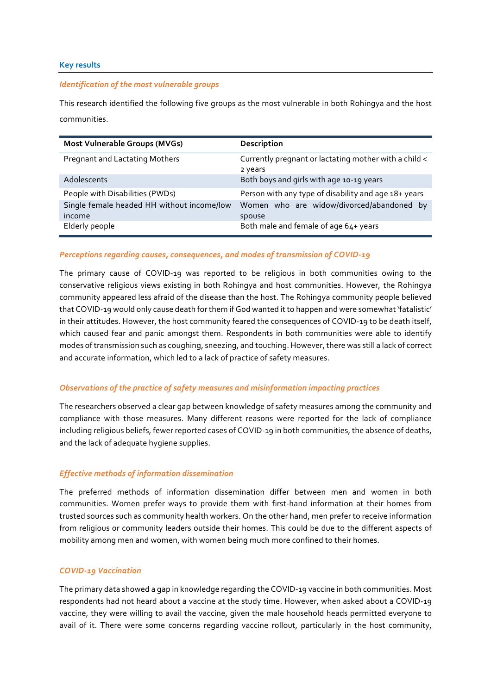#### **Key results**

#### *Identification of the most vulnerable groups*

This research identified the following five groups as the most vulnerable in both Rohingya and the host communities.

| <b>Most Vulnerable Groups (MVGs)</b>                 | Description                                                      |
|------------------------------------------------------|------------------------------------------------------------------|
| <b>Pregnant and Lactating Mothers</b>                | Currently pregnant or lactating mother with a child <<br>2 years |
| Adolescents                                          | Both boys and girls with age 10-19 years                         |
| People with Disabilities (PWDs)                      | Person with any type of disability and age 18+ years             |
| Single female headed HH without income/low<br>income | Women who are widow/divorced/abandoned by<br>spouse              |
| Elderly people                                       | Both male and female of age 64+ years                            |

#### *Perceptions regarding causes, consequences, and modes of transmission of COVID-19*

The primary cause of COVID-19 was reported to be religious in both communities owing to the conservative religious views existing in both Rohingya and host communities. However, the Rohingya community appeared less afraid of the disease than the host. The Rohingya community people believed that COVID-19 would only cause death for them if God wanted it to happen and were somewhat 'fatalistic' in their attitudes. However, the host community feared the consequences of COVID-19 to be death itself, which caused fear and panic amongst them. Respondents in both communities were able to identify modes of transmission such as coughing, sneezing, and touching. However, there was still a lack of correct and accurate information, which led to a lack of practice of safety measures.

#### *Observations of the practice of safety measures and misinformation impacting practices*

The researchers observed a clear gap between knowledge of safety measures among the community and compliance with those measures. Many different reasons were reported for the lack of compliance including religious beliefs, fewer reported cases of COVID-19 in both communities, the absence of deaths, and the lack of adequate hygiene supplies.

# *Effective methods of information dissemination*

The preferred methods of information dissemination differ between men and women in both communities. Women prefer ways to provide them with first-hand information at their homes from trusted sources such as community health workers. On the other hand, men prefer to receive information from religious or community leaders outside their homes. This could be due to the different aspects of mobility among men and women, with women being much more confined to their homes.

#### *COVID-19 Vaccination*

The primary data showed a gap in knowledge regarding the COVID-19 vaccine in both communities. Most respondents had not heard about a vaccine at the study time. However, when asked about a COVID-19 vaccine, they were willing to avail the vaccine, given the male household heads permitted everyone to avail of it. There were some concerns regarding vaccine rollout, particularly in the host community,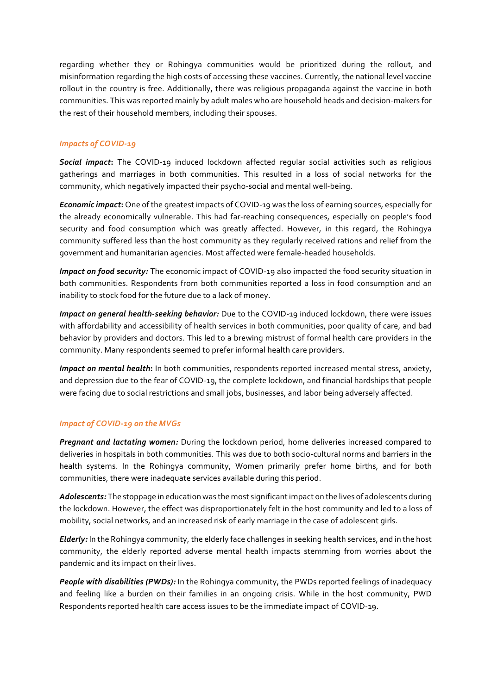regarding whether they or Rohingya communities would be prioritized during the rollout, and misinformation regarding the high costs of accessing these vaccines. Currently, the national level vaccine rollout in the country is free. Additionally, there was religious propaganda against the vaccine in both communities. This was reported mainly by adult males who are household heads and decision-makers for the rest of their household members, including their spouses.

# *Impacts of COVID-19*

*Social impact***:** The COVID-19 induced lockdown affected regular social activities such as religious gatherings and marriages in both communities. This resulted in a loss of social networks for the community, which negatively impacted their psycho-social and mental well-being.

*Economic impact***:** One of the greatest impacts of COVID-19 was the loss of earning sources, especially for the already economically vulnerable. This had far-reaching consequences, especially on people's food security and food consumption which was greatly affected. However, in this regard, the Rohingya community suffered less than the host community as they regularly received rations and relief from the government and humanitarian agencies. Most affected were female-headed households.

*Impact on food security:* The economic impact of COVID-19 also impacted the food security situation in both communities. Respondents from both communities reported a loss in food consumption and an inability to stock food for the future due to a lack of money.

*Impact on general health-seeking behavior:* Due to the COVID-19 induced lockdown, there were issues with affordability and accessibility of health services in both communities, poor quality of care, and bad behavior by providers and doctors. This led to a brewing mistrust of formal health care providers in the community. Many respondents seemed to prefer informal health care providers.

*Impact on mental health***:** In both communities, respondents reported increased mental stress, anxiety, and depression due to the fear of COVID-19, the complete lockdown, and financial hardships that people were facing due to social restrictions and small jobs, businesses, and labor being adversely affected.

# *Impact of COVID-19 on the MVGs*

*Pregnant and lactating women:* During the lockdown period, home deliveries increased compared to deliveries in hospitals in both communities. This was due to both socio-cultural norms and barriers in the health systems. In the Rohingya community, Women primarily prefer home births, and for both communities, there were inadequate services available during this period.

*Adolescents:* The stoppage in education was the most significantimpact on the lives of adolescents during the lockdown. However, the effect was disproportionately felt in the host community and led to a loss of mobility, social networks, and an increased risk of early marriage in the case of adolescent girls.

*Elderly:* In the Rohingya community, the elderly face challenges in seeking health services, and in the host community, the elderly reported adverse mental health impacts stemming from worries about the pandemic and its impact on their lives.

*People with disabilities (PWDs):* In the Rohingya community, the PWDs reported feelings of inadequacy and feeling like a burden on their families in an ongoing crisis. While in the host community, PWD Respondents reported health care access issues to be the immediate impact of COVID-19.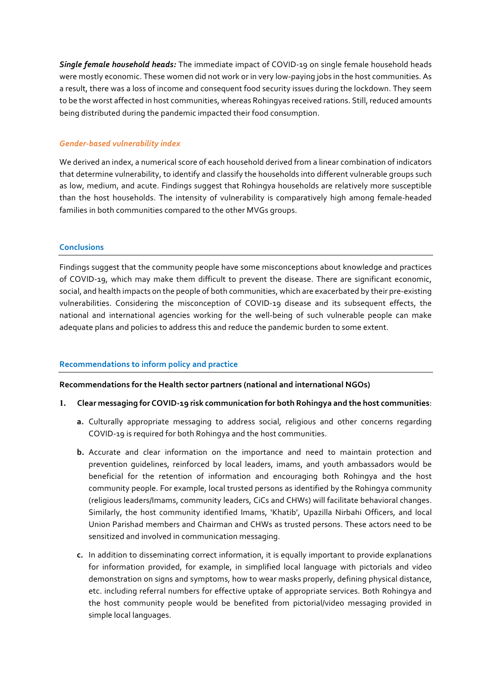*Single female household heads:* The immediate impact of COVID-19 on single female household heads were mostly economic. These women did not work or in very low-paying jobs in the host communities. As a result, there was a loss of income and consequent food security issues during the lockdown. They seem to be the worst affected in host communities, whereas Rohingyas received rations. Still, reduced amounts being distributed during the pandemic impacted their food consumption.

# *Gender-based vulnerability index*

We derived an index, a numerical score of each household derived from a linear combination of indicators that determine vulnerability, to identify and classify the households into different vulnerable groups such as low, medium, and acute. Findings suggest that Rohingya households are relatively more susceptible than the host households. The intensity of vulnerability is comparatively high among female-headed families in both communities compared to the other MVGs groups.

# **Conclusions**

Findings suggest that the community people have some misconceptions about knowledge and practices of COVID-19, which may make them difficult to prevent the disease. There are significant economic, social, and health impacts on the people of both communities, which are exacerbated by their pre-existing vulnerabilities. Considering the misconception of COVID-19 disease and its subsequent effects, the national and international agencies working for the well-being of such vulnerable people can make adequate plans and policies to address this and reduce the pandemic burden to some extent.

# **Recommendations to inform policy and practice**

# **Recommendations for the Health sector partners (national and international NGOs)**

# **1. Clear messaging for COVID-19 risk communication for both Rohingya and the host communities**:

- **a.** Culturally appropriate messaging to address social, religious and other concerns regarding COVID-19 is required for both Rohingya and the host communities.
- **b.** Accurate and clear information on the importance and need to maintain protection and prevention guidelines, reinforced by local leaders, imams, and youth ambassadors would be beneficial for the retention of information and encouraging both Rohingya and the host community people. For example, local trusted persons as identified by the Rohingya community (religious leaders/Imams, community leaders, CiCs and CHWs) will facilitate behavioral changes. Similarly, the host community identified Imams, 'Khatib', Upazilla Nirbahi Officers, and local Union Parishad members and Chairman and CHWs as trusted persons. These actors need to be sensitized and involved in communication messaging.
- **c.** In addition to disseminating correct information, it is equally important to provide explanations for information provided, for example, in simplified local language with pictorials and video demonstration on signs and symptoms, how to wear masks properly, defining physical distance, etc. including referral numbers for effective uptake of appropriate services. Both Rohingya and the host community people would be benefited from pictorial/video messaging provided in simple local languages.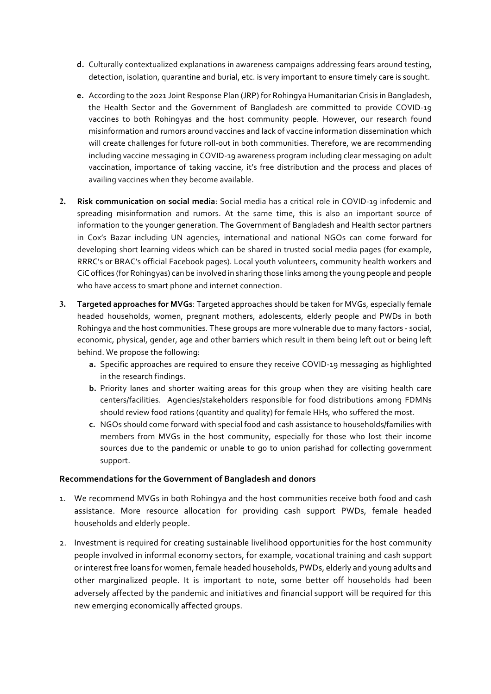- **d.** Culturally contextualized explanations in awareness campaigns addressing fears around testing, detection, isolation, quarantine and burial, etc. is very important to ensure timely care is sought.
- **e.** According to the 2021 Joint Response Plan (JRP) for Rohingya Humanitarian Crisis in Bangladesh, the Health Sector and the Government of Bangladesh are committed to provide COVID-19 vaccines to both Rohingyas and the host community people. However, our research found misinformation and rumors around vaccines and lack of vaccine information dissemination which will create challenges for future roll-out in both communities. Therefore, we are recommending including vaccine messaging in COVID-19 awareness program including clear messaging on adult vaccination, importance of taking vaccine, it's free distribution and the process and places of availing vaccines when they become available.
- **2. Risk communication on social media**: Social media has a critical role in COVID-19 infodemic and spreading misinformation and rumors. At the same time, this is also an important source of information to the younger generation. The Government of Bangladesh and Health sector partners in Cox's Bazar including UN agencies, international and national NGOs can come forward for developing short learning videos which can be shared in trusted social media pages (for example, RRRC's or BRAC's official Facebook pages). Local youth volunteers, community health workers and CiC offices (for Rohingyas) can be involved in sharing those links among the young people and people who have access to smart phone and internet connection.
- **3. Targeted approaches for MVGs**: Targeted approaches should be taken for MVGs, especially female headed households, women, pregnant mothers, adolescents, elderly people and PWDs in both Rohingya and the host communities. These groups are more vulnerable due to many factors - social, economic, physical, gender, age and other barriers which result in them being left out or being left behind. We propose the following:
	- **a.** Specific approaches are required to ensure they receive COVID-19 messaging as highlighted in the research findings.
	- **b.** Priority lanes and shorter waiting areas for this group when they are visiting health care centers/facilities. Agencies/stakeholders responsible for food distributions among FDMNs should review food rations (quantity and quality) for female HHs, who suffered the most.
	- **c.** NGOs should come forward with special food and cash assistance to households/families with members from MVGs in the host community, especially for those who lost their income sources due to the pandemic or unable to go to union parishad for collecting government support.

# **Recommendations for the Government of Bangladesh and donors**

- 1. We recommend MVGs in both Rohingya and the host communities receive both food and cash assistance. More resource allocation for providing cash support PWDs, female headed households and elderly people.
- 2. Investment is required for creating sustainable livelihood opportunities for the host community people involved in informal economy sectors, for example, vocational training and cash support or interest free loans for women, female headed households, PWDs, elderly and young adults and other marginalized people. It is important to note, some better off households had been adversely affected by the pandemic and initiatives and financial support will be required for this new emerging economically affected groups.